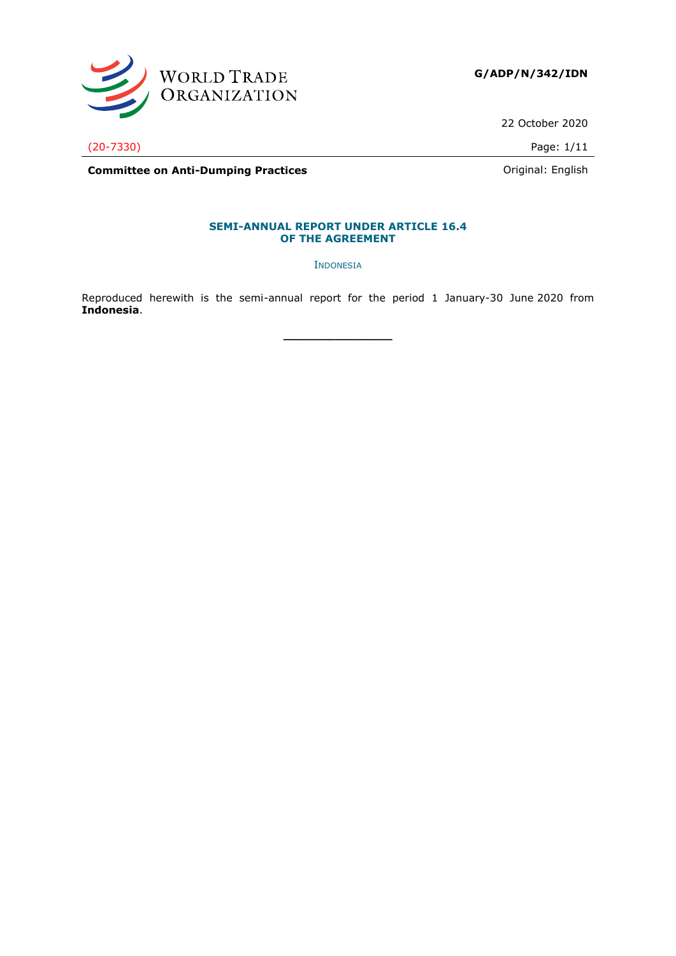

22 October 2020

(20-7330) Page: 1/11

**Committee on Anti-Dumping Practices Committee on Anti-Dumping Practices Committee on Anti-Dumping Practices** 

# **SEMI-ANNUAL REPORT UNDER ARTICLE 16.4**

**OF THE AGREEMENT**

INDONESIA

Reproduced herewith is the semi-annual report for the period 1 January-30 June 2020 from **Indonesia**.

**\_\_\_\_\_\_\_\_\_\_\_\_\_\_\_**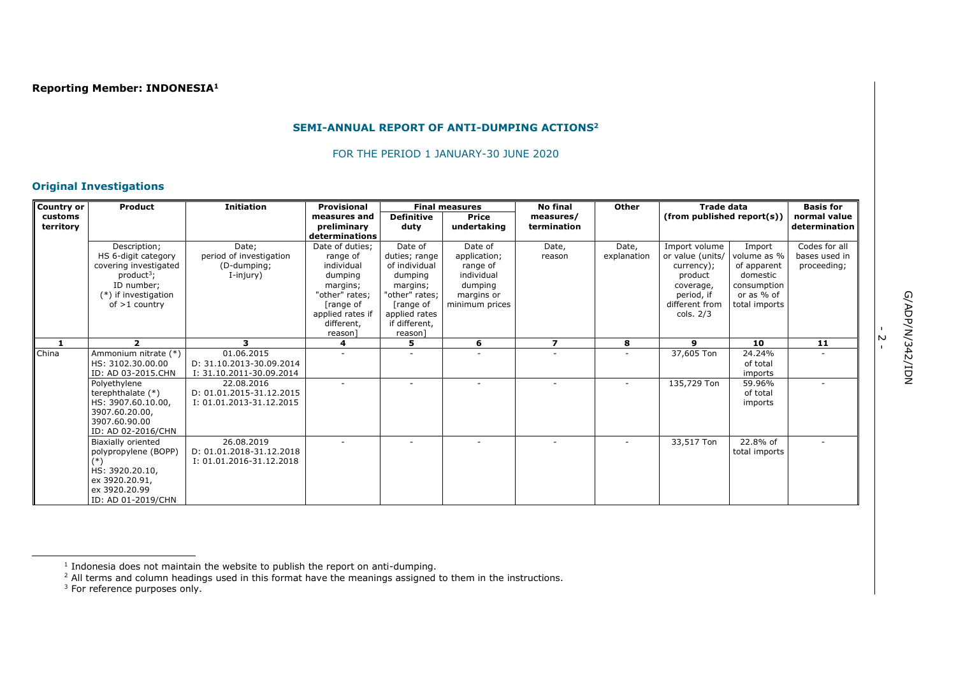#### **SEMI-ANNUAL REPORT OF ANTI-DUMPING ACTIONS<sup>2</sup>**

FOR THE PERIOD 1 JANUARY-30 JUNE 2020

# **Original Investigations**

| Product             | <b>Initiation</b>                                                                                                                                                                                                                                                                                                                                                                                                                                  | Provisional                                                                                                                                                                                                                      |                                                                                                                        |                                                                                                | <b>No final</b>                                                                                                 | <b>Other</b> |                               |                                                                                                                 | <b>Basis for</b>                                                                                                                                                                                               |
|---------------------|----------------------------------------------------------------------------------------------------------------------------------------------------------------------------------------------------------------------------------------------------------------------------------------------------------------------------------------------------------------------------------------------------------------------------------------------------|----------------------------------------------------------------------------------------------------------------------------------------------------------------------------------------------------------------------------------|------------------------------------------------------------------------------------------------------------------------|------------------------------------------------------------------------------------------------|-----------------------------------------------------------------------------------------------------------------|--------------|-------------------------------|-----------------------------------------------------------------------------------------------------------------|----------------------------------------------------------------------------------------------------------------------------------------------------------------------------------------------------------------|
|                     |                                                                                                                                                                                                                                                                                                                                                                                                                                                    | measures and                                                                                                                                                                                                                     | <b>Definitive</b>                                                                                                      | <b>Price</b>                                                                                   | measures/                                                                                                       |              |                               |                                                                                                                 | normal value                                                                                                                                                                                                   |
|                     |                                                                                                                                                                                                                                                                                                                                                                                                                                                    |                                                                                                                                                                                                                                  | duty                                                                                                                   | undertaking                                                                                    | termination                                                                                                     |              |                               |                                                                                                                 | determination                                                                                                                                                                                                  |
|                     |                                                                                                                                                                                                                                                                                                                                                                                                                                                    | determinations                                                                                                                                                                                                                   |                                                                                                                        |                                                                                                |                                                                                                                 |              |                               |                                                                                                                 |                                                                                                                                                                                                                |
| Description;        | Date:                                                                                                                                                                                                                                                                                                                                                                                                                                              | Date of duties:                                                                                                                                                                                                                  | Date of                                                                                                                | Date of                                                                                        | Date,                                                                                                           | Date,        | Import volume                 | Import                                                                                                          | Codes for all                                                                                                                                                                                                  |
| HS 6-digit category | period of investigation                                                                                                                                                                                                                                                                                                                                                                                                                            | range of                                                                                                                                                                                                                         | duties; range                                                                                                          | application;                                                                                   | reason                                                                                                          | explanation  |                               | volume as %                                                                                                     | bases used in                                                                                                                                                                                                  |
|                     | (D-dumping;                                                                                                                                                                                                                                                                                                                                                                                                                                        |                                                                                                                                                                                                                                  |                                                                                                                        | range of                                                                                       |                                                                                                                 |              | currency);                    | of apparent                                                                                                     | proceeding;                                                                                                                                                                                                    |
|                     |                                                                                                                                                                                                                                                                                                                                                                                                                                                    | dumping                                                                                                                                                                                                                          | dumping                                                                                                                |                                                                                                |                                                                                                                 |              | product                       |                                                                                                                 |                                                                                                                                                                                                                |
|                     |                                                                                                                                                                                                                                                                                                                                                                                                                                                    | margins;                                                                                                                                                                                                                         | margins;                                                                                                               |                                                                                                |                                                                                                                 |              | coverage,                     |                                                                                                                 |                                                                                                                                                                                                                |
|                     |                                                                                                                                                                                                                                                                                                                                                                                                                                                    |                                                                                                                                                                                                                                  |                                                                                                                        |                                                                                                |                                                                                                                 |              |                               |                                                                                                                 |                                                                                                                                                                                                                |
|                     |                                                                                                                                                                                                                                                                                                                                                                                                                                                    |                                                                                                                                                                                                                                  |                                                                                                                        |                                                                                                |                                                                                                                 |              |                               |                                                                                                                 |                                                                                                                                                                                                                |
|                     |                                                                                                                                                                                                                                                                                                                                                                                                                                                    |                                                                                                                                                                                                                                  |                                                                                                                        |                                                                                                |                                                                                                                 |              |                               |                                                                                                                 |                                                                                                                                                                                                                |
|                     |                                                                                                                                                                                                                                                                                                                                                                                                                                                    |                                                                                                                                                                                                                                  |                                                                                                                        |                                                                                                |                                                                                                                 |              |                               |                                                                                                                 |                                                                                                                                                                                                                |
|                     |                                                                                                                                                                                                                                                                                                                                                                                                                                                    |                                                                                                                                                                                                                                  |                                                                                                                        |                                                                                                |                                                                                                                 |              |                               |                                                                                                                 |                                                                                                                                                                                                                |
|                     |                                                                                                                                                                                                                                                                                                                                                                                                                                                    |                                                                                                                                                                                                                                  |                                                                                                                        |                                                                                                |                                                                                                                 |              |                               |                                                                                                                 | 11                                                                                                                                                                                                             |
|                     |                                                                                                                                                                                                                                                                                                                                                                                                                                                    |                                                                                                                                                                                                                                  |                                                                                                                        |                                                                                                |                                                                                                                 |              |                               |                                                                                                                 |                                                                                                                                                                                                                |
|                     |                                                                                                                                                                                                                                                                                                                                                                                                                                                    |                                                                                                                                                                                                                                  |                                                                                                                        |                                                                                                |                                                                                                                 |              |                               |                                                                                                                 |                                                                                                                                                                                                                |
|                     |                                                                                                                                                                                                                                                                                                                                                                                                                                                    |                                                                                                                                                                                                                                  |                                                                                                                        |                                                                                                |                                                                                                                 |              |                               |                                                                                                                 |                                                                                                                                                                                                                |
|                     |                                                                                                                                                                                                                                                                                                                                                                                                                                                    |                                                                                                                                                                                                                                  |                                                                                                                        |                                                                                                |                                                                                                                 |              |                               |                                                                                                                 |                                                                                                                                                                                                                |
|                     |                                                                                                                                                                                                                                                                                                                                                                                                                                                    |                                                                                                                                                                                                                                  |                                                                                                                        |                                                                                                |                                                                                                                 |              |                               |                                                                                                                 |                                                                                                                                                                                                                |
|                     |                                                                                                                                                                                                                                                                                                                                                                                                                                                    |                                                                                                                                                                                                                                  |                                                                                                                        |                                                                                                |                                                                                                                 |              |                               |                                                                                                                 |                                                                                                                                                                                                                |
|                     |                                                                                                                                                                                                                                                                                                                                                                                                                                                    |                                                                                                                                                                                                                                  |                                                                                                                        |                                                                                                |                                                                                                                 |              |                               |                                                                                                                 |                                                                                                                                                                                                                |
|                     |                                                                                                                                                                                                                                                                                                                                                                                                                                                    |                                                                                                                                                                                                                                  |                                                                                                                        |                                                                                                |                                                                                                                 |              |                               |                                                                                                                 |                                                                                                                                                                                                                |
|                     |                                                                                                                                                                                                                                                                                                                                                                                                                                                    |                                                                                                                                                                                                                                  |                                                                                                                        |                                                                                                |                                                                                                                 |              |                               |                                                                                                                 |                                                                                                                                                                                                                |
|                     |                                                                                                                                                                                                                                                                                                                                                                                                                                                    |                                                                                                                                                                                                                                  |                                                                                                                        |                                                                                                |                                                                                                                 |              |                               |                                                                                                                 |                                                                                                                                                                                                                |
|                     |                                                                                                                                                                                                                                                                                                                                                                                                                                                    |                                                                                                                                                                                                                                  |                                                                                                                        |                                                                                                |                                                                                                                 |              |                               |                                                                                                                 |                                                                                                                                                                                                                |
|                     |                                                                                                                                                                                                                                                                                                                                                                                                                                                    |                                                                                                                                                                                                                                  |                                                                                                                        |                                                                                                |                                                                                                                 |              |                               |                                                                                                                 |                                                                                                                                                                                                                |
|                     |                                                                                                                                                                                                                                                                                                                                                                                                                                                    |                                                                                                                                                                                                                                  |                                                                                                                        |                                                                                                |                                                                                                                 |              |                               |                                                                                                                 |                                                                                                                                                                                                                |
|                     |                                                                                                                                                                                                                                                                                                                                                                                                                                                    |                                                                                                                                                                                                                                  |                                                                                                                        |                                                                                                |                                                                                                                 |              |                               |                                                                                                                 |                                                                                                                                                                                                                |
|                     |                                                                                                                                                                                                                                                                                                                                                                                                                                                    |                                                                                                                                                                                                                                  |                                                                                                                        |                                                                                                |                                                                                                                 |              |                               |                                                                                                                 |                                                                                                                                                                                                                |
| Country or          | covering investigated<br>product <sup>3</sup><br>ID number;<br>(*) if investigation<br>of $>1$ country<br>$\overline{2}$<br>Ammonium nitrate (*)<br>HS: 3102.30.00.00<br>ID: AD 03-2015.CHN<br>Polyethylene<br>terephthalate (*)<br>HS: 3907.60.10.00,<br>3907.60.20.00,<br>3907.60.90.00<br>ID: AD 02-2016/CHN<br>Biaxially oriented<br>polypropylene (BOPP)<br>$(*)$<br>HS: 3920.20.10,<br>ex 3920.20.91,<br>ex 3920.20.99<br>ID: AD 01-2019/CHN | I-injury)<br>з<br>01.06.2015<br>D: 31.10.2013-30.09.2014<br>I: 31.10.2011-30.09.2014<br>22.08.2016<br>D: 01.01.2015-31.12.2015<br>I: 01.01.2013-31.12.2015<br>26.08.2019<br>D: 01.01.2018-31.12.2018<br>I: 01.01.2016-31.12.2018 | preliminary<br>individual<br>"other" rates;<br>[range of<br>applied rates if<br>different,<br>reason <sup>1</sup><br>4 | of individual<br>"other" rates;<br>[range of<br>applied rates<br>if different,<br>reason]<br>5 | <b>Final measures</b><br>individual<br>dumping<br>margins or<br>minimum prices<br>6<br>$\overline{\phantom{a}}$ | 7            | 8<br>$\overline{\phantom{a}}$ | or value (units/<br>period, if<br>different from<br>cols. $2/3$<br>9<br>37,605 Ton<br>135,729 Ton<br>33,517 Ton | <b>Trade data</b><br>(from published report(s))<br>domestic<br>consumption<br>or as % of<br>total imports<br>10<br>24.24%<br>of total<br>imports<br>59.96%<br>of total<br>imports<br>22.8% of<br>total imports |

.<br>- 2

<sup>1</sup> Indonesia does not maintain the website to publish the report on anti-dumping.

 $<sup>2</sup>$  All terms and column headings used in this format have the meanings assigned to them in the instructions.</sup>

 $3$  For reference purposes only.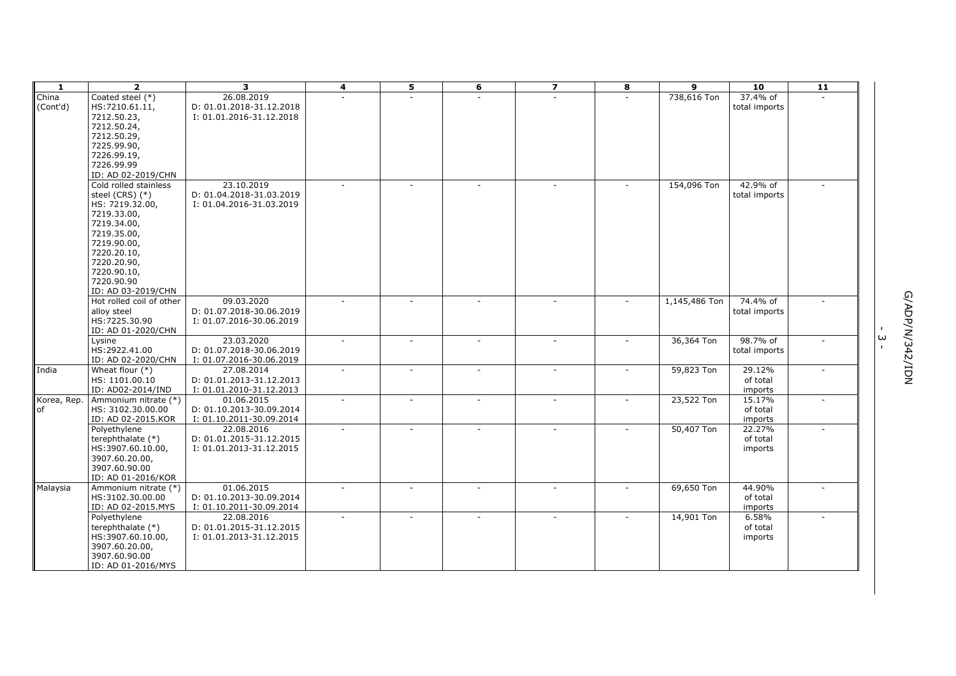| -1                | $\overline{2}$                            | 3                                      | 4      | 5                        | 6                        | $\overline{\mathbf{z}}$ | 8              | 9             | 10                 | $\overline{11}$ |   |                  |
|-------------------|-------------------------------------------|----------------------------------------|--------|--------------------------|--------------------------|-------------------------|----------------|---------------|--------------------|-----------------|---|------------------|
| China             | Coated steel (*)                          | 26.08.2019                             |        |                          |                          | ÷.                      |                | 738,616 Ton   | 37.4% of           |                 |   |                  |
| (Cont'd)          | HS:7210.61.11,                            | D: 01.01.2018-31.12.2018               |        |                          |                          |                         |                |               | total imports      |                 |   |                  |
|                   | 7212.50.23,                               | I: 01.01.2016-31.12.2018               |        |                          |                          |                         |                |               |                    |                 |   |                  |
|                   | 7212.50.24,                               |                                        |        |                          |                          |                         |                |               |                    |                 |   |                  |
|                   | 7212.50.29,                               |                                        |        |                          |                          |                         |                |               |                    |                 |   |                  |
|                   | 7225.99.90,                               |                                        |        |                          |                          |                         |                |               |                    |                 |   |                  |
|                   | 7226.99.19,                               |                                        |        |                          |                          |                         |                |               |                    |                 |   |                  |
|                   | 7226.99.99                                |                                        |        |                          |                          |                         |                |               |                    |                 |   |                  |
|                   | ID: AD 02-2019/CHN                        |                                        |        |                          |                          |                         |                |               |                    |                 |   |                  |
|                   | Cold rolled stainless                     | 23.10.2019                             |        |                          |                          |                         | $\sim$         | 154,096 Ton   | 42.9% of           |                 |   |                  |
|                   | steel (CRS) (*)                           | D: 01.04.2018-31.03.2019               |        |                          |                          |                         |                |               | total imports      |                 |   |                  |
|                   | HS: 7219.32.00,                           | I: 01.04.2016-31.03.2019               |        |                          |                          |                         |                |               |                    |                 |   |                  |
|                   | 7219.33.00,                               |                                        |        |                          |                          |                         |                |               |                    |                 |   |                  |
|                   | 7219.34.00,                               |                                        |        |                          |                          |                         |                |               |                    |                 |   |                  |
|                   | 7219.35.00,                               |                                        |        |                          |                          |                         |                |               |                    |                 |   |                  |
|                   | 7219.90.00,                               |                                        |        |                          |                          |                         |                |               |                    |                 |   |                  |
|                   | 7220.20.10,                               |                                        |        |                          |                          |                         |                |               |                    |                 |   |                  |
|                   | 7220.20.90,                               |                                        |        |                          |                          |                         |                |               |                    |                 |   |                  |
|                   | 7220.90.10,                               |                                        |        |                          |                          |                         |                |               |                    |                 |   |                  |
|                   | 7220.90.90                                |                                        |        |                          |                          |                         |                |               |                    |                 |   |                  |
|                   | ID: AD 03-2019/CHN                        |                                        |        |                          |                          |                         |                |               |                    |                 |   |                  |
|                   | Hot rolled coil of other                  | 09.03.2020                             |        |                          |                          |                         | $\sim$         | 1,145,486 Ton | 74.4% of           |                 |   |                  |
|                   | alloy steel                               | D: 01.07.2018-30.06.2019               |        |                          |                          |                         |                |               | total imports      |                 |   |                  |
|                   | HS:7225.30.90                             | I: 01.07.2016-30.06.2019               |        |                          |                          |                         |                |               |                    |                 |   |                  |
|                   | ID: AD 01-2020/CHN                        |                                        |        |                          |                          |                         |                |               |                    |                 | ω | MQI/Z\$2/N/dQV/5 |
|                   | Lysine                                    | 23.03.2020                             | $\sim$ | ÷.                       |                          | $\sim$                  | $\sim$         | 36,364 Ton    | 98.7% of           | $\sim$          |   |                  |
|                   | HS:2922.41.00                             | D: 01.07.2018-30.06.2019               |        |                          |                          |                         |                |               | total imports      |                 |   |                  |
|                   | ID: AD 02-2020/CHN                        | I: 01.07.2016-30.06.2019               | $\sim$ |                          |                          | $\sim$                  |                |               |                    |                 |   |                  |
| India             | Wheat flour $(*)$<br>HS: 1101.00.10       | 27.08.2014<br>D: 01.01.2013-31.12.2013 |        | $\overline{\phantom{a}}$ | $\overline{\phantom{a}}$ |                         | $\sim$         | 59,823 Ton    | 29.12%<br>of total | $\sim$          |   |                  |
|                   | ID: AD02-2014/IND                         |                                        |        |                          |                          |                         |                |               |                    |                 |   |                  |
|                   |                                           | I: 01.01.2010-31.12.2013<br>01.06.2015 |        |                          |                          | $\sim$                  | $\sim$         | 23,522 Ton    | imports<br>15.17%  | ÷.              |   |                  |
| Korea, Rep.<br>of | Ammonium nitrate (*)<br>HS: 3102.30.00.00 | D: 01.10.2013-30.09.2014               |        |                          |                          |                         |                |               | of total           |                 |   |                  |
|                   | ID: AD 02-2015.KOR                        | I: 01.10.2011-30.09.2014               |        |                          |                          |                         |                |               | imports            |                 |   |                  |
|                   | Polyethylene                              | 22.08.2016                             | $\sim$ |                          |                          | $\sim$                  | $\sim$         | 50,407 Ton    | 22.27%             |                 |   |                  |
|                   | terephthalate (*)                         | D: 01.01.2015-31.12.2015               |        |                          |                          |                         |                |               | of total           |                 |   |                  |
|                   | HS:3907.60.10.00,                         | I: 01.01.2013-31.12.2015               |        |                          |                          |                         |                |               | imports            |                 |   |                  |
|                   | 3907.60.20.00,                            |                                        |        |                          |                          |                         |                |               |                    |                 |   |                  |
|                   | 3907.60.90.00                             |                                        |        |                          |                          |                         |                |               |                    |                 |   |                  |
|                   | ID: AD 01-2016/KOR                        |                                        |        |                          |                          |                         |                |               |                    |                 |   |                  |
| Malaysia          | Ammonium nitrate (*)                      | 01.06.2015                             | $\sim$ |                          |                          | ÷.                      | $\overline{a}$ | 69,650 Ton    | 44.90%             |                 |   |                  |
|                   | HS:3102.30.00.00                          | D: 01.10.2013-30.09.2014               |        |                          |                          |                         |                |               | of total           |                 |   |                  |
|                   | ID: AD 02-2015.MYS                        | I: 01.10.2011-30.09.2014               |        |                          |                          |                         |                |               | imports            |                 |   |                  |
|                   | Polyethylene                              | 22.08.2016                             |        |                          |                          | $\sim$                  | $\sim$         | 14,901 Ton    | 6.58%              |                 |   |                  |
|                   | terephthalate (*)                         | D: 01.01.2015-31.12.2015               |        |                          |                          |                         |                |               | of total           |                 |   |                  |
|                   | HS:3907.60.10.00,                         | I: 01.01.2013-31.12.2015               |        |                          |                          |                         |                |               | imports            |                 |   |                  |
|                   | 3907.60.20.00,                            |                                        |        |                          |                          |                         |                |               |                    |                 |   |                  |
|                   | 3907.60.90.00                             |                                        |        |                          |                          |                         |                |               |                    |                 |   |                  |
|                   | ID: AD 01-2016/MYS                        |                                        |        |                          |                          |                         |                |               |                    |                 |   |                  |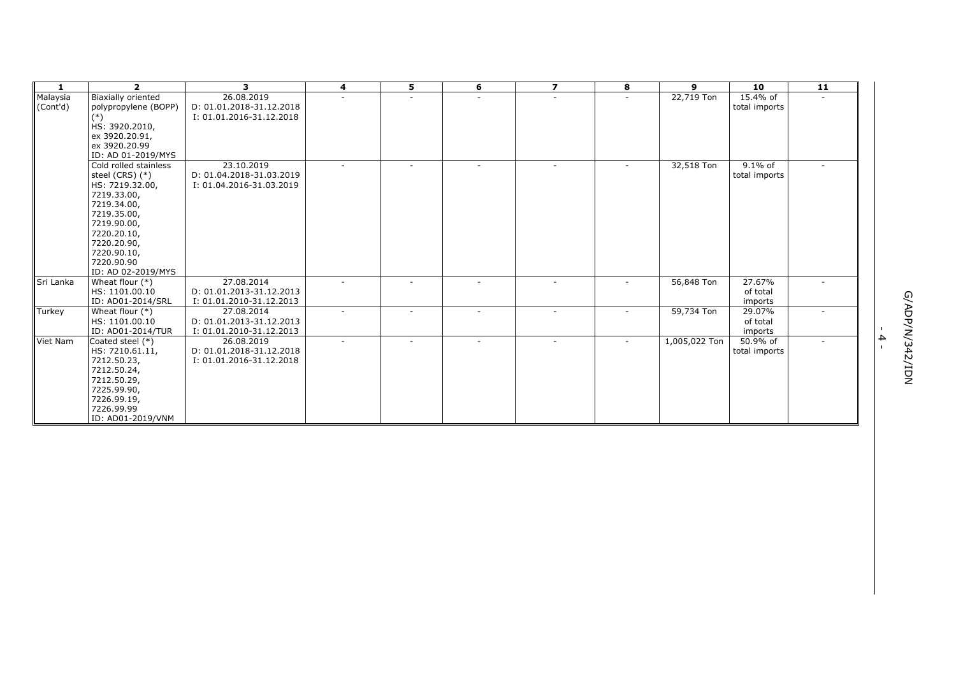| 1                    | $\overline{2}$                                                                                                                                                                                             | 3                                                                  | 4      | 5      | 6      | $\overline{z}$ | 8                        | 9             | 10                            | $\overline{11}$          |                   |          |
|----------------------|------------------------------------------------------------------------------------------------------------------------------------------------------------------------------------------------------------|--------------------------------------------------------------------|--------|--------|--------|----------------|--------------------------|---------------|-------------------------------|--------------------------|-------------------|----------|
| Malaysia<br>(Cont'd) | Biaxially oriented<br>polypropylene (BOPP)<br>$(*)$<br>HS: 3920.2010,<br>ex 3920.20.91,<br>ex 3920.20.99<br>ID: AD 01-2019/MYS                                                                             | 26.08.2019<br>D: 01.01.2018-31.12.2018<br>I: 01.01.2016-31.12.2018 | $\sim$ | ٠      | ٠      | $\sim$         | $\sim$                   | 22,719 Ton    | 15.4% of<br>total imports     |                          |                   |          |
|                      | Cold rolled stainless<br>steel (CRS) $(*)$<br>HS: 7219.32.00,<br>7219.33.00,<br>7219.34.00,<br>7219.35.00,<br>7219.90.00,<br>7220.20.10,<br>7220.20.90,<br>7220.90.10,<br>7220.90.90<br>ID: AD 02-2019/MYS | 23.10.2019<br>D: 01.04.2018-31.03.2019<br>I: 01.04.2016-31.03.2019 |        | ٠      |        |                | $\overline{\phantom{a}}$ | 32,518 Ton    | $9.1\%$ of<br>total imports   |                          |                   |          |
| Sri Lanka            | Wheat flour $(*)$<br>HS: 1101.00.10<br>ID: AD01-2014/SRL                                                                                                                                                   | 27.08.2014<br>D: 01.01.2013-31.12.2013<br>I: 01.01.2010-31.12.2013 | $\sim$ | $\sim$ | Ξ.     | $\sim$         | $\sim$                   | 56,848 Ton    | 27.67%<br>of total<br>imports | $\overline{\phantom{a}}$ |                   |          |
| Turkey               | Wheat flour $(*)$<br>HS: 1101.00.10<br>ID: AD01-2014/TUR                                                                                                                                                   | 27.08.2014<br>D: 01.01.2013-31.12.2013<br>I: 01.01.2010-31.12.2013 |        |        |        |                |                          | 59,734 Ton    | 29.07%<br>of total<br>imports |                          |                   | G/ADP/N/ |
| Viet Nam             | Coated steel (*)<br>HS: 7210.61.11,<br>7212.50.23,<br>7212.50.24,<br>7212.50.29,<br>7225.99.90,<br>7226.99.19,<br>7226.99.99<br>ID: AD01-2019/VNM                                                          | 26.08.2019<br>D: 01.01.2018-31.12.2018<br>I: 01.01.2016-31.12.2018 | $\sim$ | $\sim$ | $\sim$ | $\sim$         | $\sim$                   | 1,005,022 Ton | 50.9% of<br>total imports     | ÷                        | 4<br>$\mathbf{I}$ | 342/IDN  |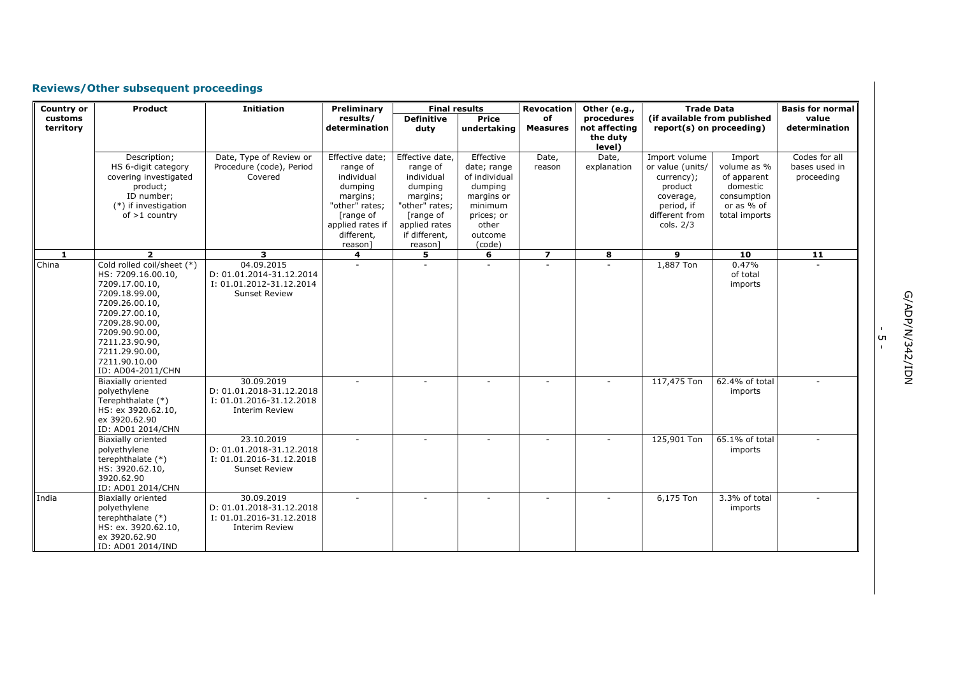# **Reviews/Other subsequent proceedings**

| <b>Country or</b>    | <b>Product</b>                                                                                                                                                                                                                         | <b>Initiation</b>                                                                           | Preliminary                                                                                                                                  | <b>Final results</b>                                                                                                                         |                                                                                                                           | <b>Revocation</b>     | Other (e.g.,                                      | <b>Trade Data</b>                                                                                                    |                                                                                                | <b>Basis for normal</b>                      |
|----------------------|----------------------------------------------------------------------------------------------------------------------------------------------------------------------------------------------------------------------------------------|---------------------------------------------------------------------------------------------|----------------------------------------------------------------------------------------------------------------------------------------------|----------------------------------------------------------------------------------------------------------------------------------------------|---------------------------------------------------------------------------------------------------------------------------|-----------------------|---------------------------------------------------|----------------------------------------------------------------------------------------------------------------------|------------------------------------------------------------------------------------------------|----------------------------------------------|
| customs<br>territory |                                                                                                                                                                                                                                        |                                                                                             | results/<br>determination                                                                                                                    | <b>Definitive</b><br>duty                                                                                                                    | Price<br>undertaking                                                                                                      | of<br><b>Measures</b> | procedures<br>not affecting<br>the duty<br>level) | (if available from published<br>report(s) on proceeding)                                                             |                                                                                                | value<br>determination                       |
|                      | Description;<br>HS 6-digit category<br>covering investigated<br>product;<br>ID number;<br>(*) if investigation<br>$of > 1$ country                                                                                                     | Date, Type of Review or<br>Procedure (code), Period<br>Covered                              | Effective date;<br>range of<br>individual<br>dumping<br>margins;<br>"other" rates:<br>[range of<br>applied rates if<br>different,<br>reason] | Effective date,<br>range of<br>individual<br>dumping<br>margins;<br>"other" rates:<br>[range of<br>applied rates<br>if different,<br>reason] | Effective<br>date; range<br>of individual<br>dumping<br>margins or<br>minimum<br>prices; or<br>other<br>outcome<br>(code) | Date,<br>reason       | Date,<br>explanation                              | Import volume<br>or value (units/<br>currency);<br>product<br>coverage,<br>period, if<br>different from<br>cols. 2/3 | Import<br>volume as %<br>of apparent<br>domestic<br>consumption<br>or as % of<br>total imports | Codes for all<br>bases used in<br>proceeding |
| $\mathbf{1}$         | $\overline{2}$                                                                                                                                                                                                                         | 3                                                                                           | 4                                                                                                                                            | 5                                                                                                                                            | $\overline{6}$                                                                                                            | $\overline{7}$        | $\overline{\mathbf{8}}$                           | $\overline{9}$                                                                                                       | 10                                                                                             | $\overline{11}$                              |
| China                | Cold rolled coil/sheet (*)<br>HS: 7209.16.00.10,<br>7209.17.00.10,<br>7209.18.99.00,<br>7209.26.00.10,<br>7209.27.00.10,<br>7209.28.90.00,<br>7209.90.90.00,<br>7211.23.90.90,<br>7211.29.90.00,<br>7211.90.10.00<br>ID: AD04-2011/CHN | 04.09.2015<br>D: 01.01.2014-31.12.2014<br>I: 01.01.2012-31.12.2014<br>Sunset Review         |                                                                                                                                              |                                                                                                                                              |                                                                                                                           | ٠                     |                                                   | 1,887 Ton                                                                                                            | 0.47%<br>of total<br>imports                                                                   |                                              |
|                      | <b>Biaxially oriented</b><br>polyethylene<br>Terephthalate (*)<br>HS: ex 3920.62.10,<br>ex 3920.62.90<br>ID: AD01 2014/CHN                                                                                                             | 30.09.2019<br>D: 01.01.2018-31.12.2018<br>I: 01.01.2016-31.12.2018<br><b>Interim Review</b> |                                                                                                                                              |                                                                                                                                              |                                                                                                                           |                       |                                                   | 117,475 Ton                                                                                                          | 62.4% of total<br>imports                                                                      |                                              |
|                      | <b>Biaxially oriented</b><br>polyethylene<br>terephthalate (*)<br>HS: 3920.62.10,<br>3920.62.90<br>ID: AD01 2014/CHN                                                                                                                   | 23.10.2019<br>D: 01.01.2018-31.12.2018<br>I: 01.01.2016-31.12.2018<br>Sunset Review         |                                                                                                                                              |                                                                                                                                              |                                                                                                                           | ÷                     |                                                   | 125,901 Ton                                                                                                          | 65.1% of total<br>imports                                                                      |                                              |
| India                | <b>Biaxially oriented</b><br>polyethylene<br>terephthalate (*)<br>HS: ex. 3920.62.10,<br>ex 3920.62.90<br>ID: AD01 2014/IND                                                                                                            | 30.09.2019<br>D: 01.01.2018-31.12.2018<br>I: 01.01.2016-31.12.2018<br><b>Interim Review</b> |                                                                                                                                              |                                                                                                                                              |                                                                                                                           |                       |                                                   | 6,175 Ton                                                                                                            | 3.3% of total<br>imports                                                                       |                                              |

G/ADP/N/342/IDN G/ADP/N/342/IDN

י<br>ה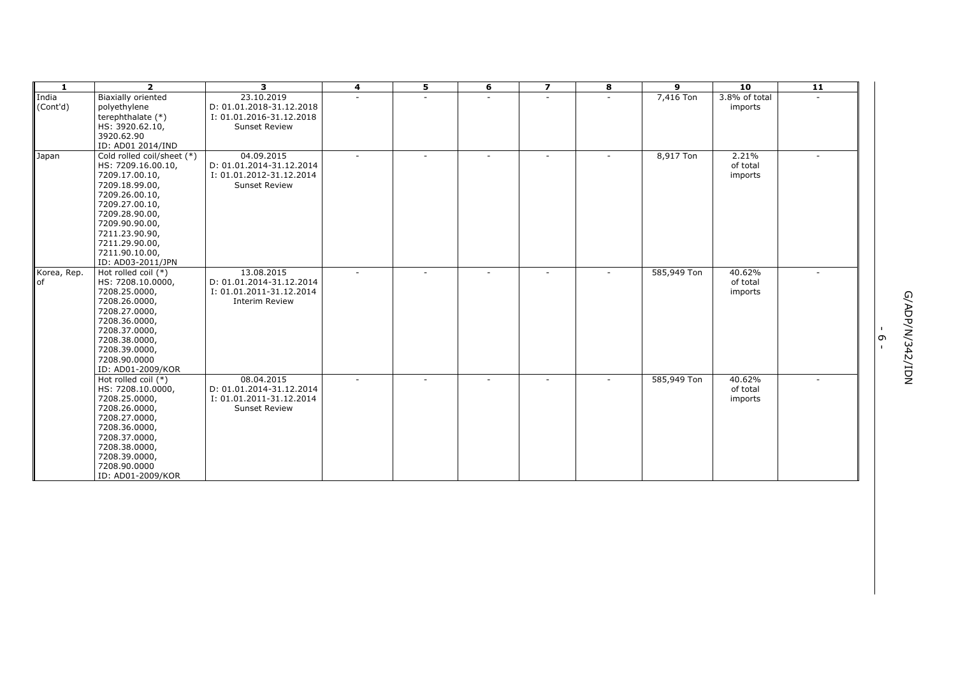| $\mathbf{1}$             | $\overline{2}$                                                                                                                                                                                                                                               | 3                                                                                           | 4 | 5 | 6 | $\overline{z}$ | 8 | 9           | 10                            | $\overline{11}$ |                                                          |
|--------------------------|--------------------------------------------------------------------------------------------------------------------------------------------------------------------------------------------------------------------------------------------------------------|---------------------------------------------------------------------------------------------|---|---|---|----------------|---|-------------|-------------------------------|-----------------|----------------------------------------------------------|
| India<br>(Cont'd)        | <b>Biaxially oriented</b><br>polyethylene<br>terephthalate (*)<br>HS: 3920.62.10,<br>3920.62.90                                                                                                                                                              | 23.10.2019<br>D: 01.01.2018-31.12.2018<br>I: 01.01.2016-31.12.2018<br><b>Sunset Review</b>  |   |   |   |                |   | 7,416 Ton   | 3.8% of total<br>imports      |                 |                                                          |
| Japan                    | ID: AD01 2014/IND<br>Cold rolled coil/sheet (*)<br>HS: 7209.16.00.10,<br>7209.17.00.10,<br>7209.18.99.00,<br>7209.26.00.10,<br>7209.27.00.10,<br>7209.28.90.00,<br>7209.90.90.00,<br>7211.23.90.90,<br>7211.29.90.00,<br>7211.90.10.00,<br>ID: AD03-2011/JPN | 04.09.2015<br>D: 01.01.2014-31.12.2014<br>I: 01.01.2012-31.12.2014<br><b>Sunset Review</b>  |   |   |   |                |   | 8,917 Ton   | 2.21%<br>of total<br>imports  |                 |                                                          |
| Korea, Rep.<br><b>of</b> | Hot rolled coil $(*)$<br>HS: 7208.10.0000,<br>7208.25.0000,<br>7208.26.0000,<br>7208.27.0000,<br>7208.36.0000,<br>7208.37.0000,<br>7208.38.0000,<br>7208.39.0000,<br>7208.90.0000<br>ID: AD01-2009/KOR                                                       | 13.08.2015<br>D: 01.01.2014-31.12.2014<br>I: 01.01.2011-31.12.2014<br><b>Interim Review</b> |   |   |   |                |   | 585,949 Ton | 40.62%<br>of total<br>imports |                 | G/ADP/N/<br>$\mathbf{I}$<br>G<br>342/IDN<br>$\mathbf{I}$ |
|                          | Hot rolled coil (*)<br>HS: 7208.10.0000,<br>7208.25.0000,<br>7208.26.0000,<br>7208.27.0000,<br>7208.36.0000,<br>7208.37.0000,<br>7208.38.0000,<br>7208.39.0000,<br>7208.90.0000<br>ID: AD01-2009/KOR                                                         | 08.04.2015<br>D: 01.01.2014-31.12.2014<br>I: 01.01.2011-31.12.2014<br><b>Sunset Review</b>  |   |   |   |                |   | 585,949 Ton | 40.62%<br>of total<br>imports |                 |                                                          |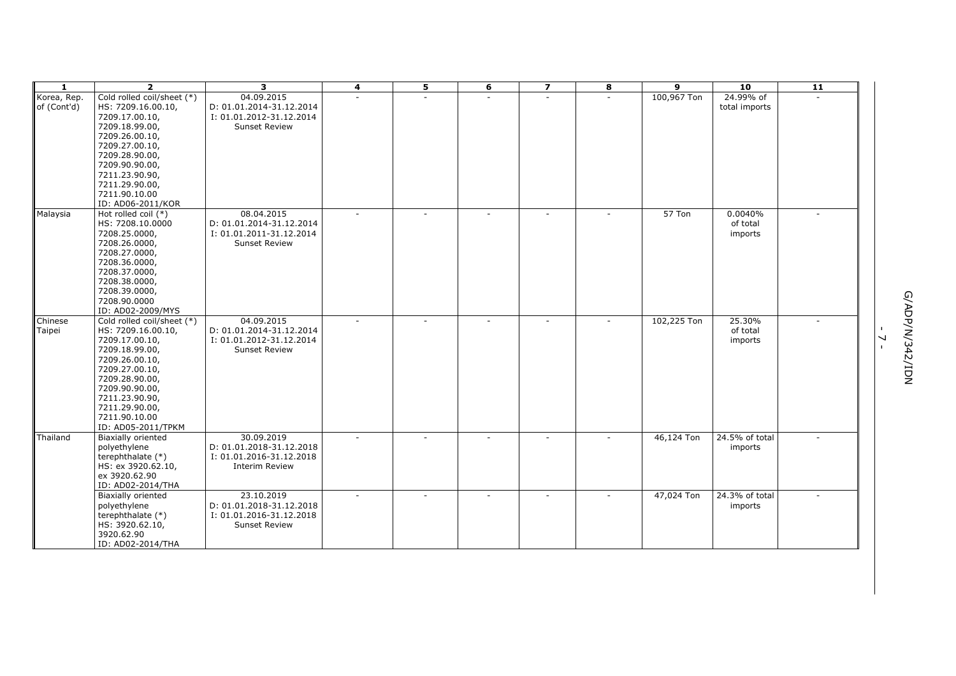| $\mathbf{1}$ | $\overline{2}$                   | 3                        | 4      | 5 | 6                        | $\overline{z}$ | 8 | 9           | 10             | $\overline{11}$ |                          |                  |
|--------------|----------------------------------|--------------------------|--------|---|--------------------------|----------------|---|-------------|----------------|-----------------|--------------------------|------------------|
| Korea, Rep.  | Cold rolled coil/sheet (*)       | 04.09.2015               |        |   |                          | ÷.             |   | 100,967 Ton | 24.99% of      |                 |                          |                  |
| of (Cont'd)  | HS: 7209.16.00.10,               | D: 01.01.2014-31.12.2014 |        |   |                          |                |   |             | total imports  |                 |                          |                  |
|              | 7209.17.00.10,                   | I: 01.01.2012-31.12.2014 |        |   |                          |                |   |             |                |                 |                          |                  |
|              | 7209.18.99.00,                   | <b>Sunset Review</b>     |        |   |                          |                |   |             |                |                 |                          |                  |
|              | 7209.26.00.10,                   |                          |        |   |                          |                |   |             |                |                 |                          |                  |
|              | 7209.27.00.10,                   |                          |        |   |                          |                |   |             |                |                 |                          |                  |
|              | 7209.28.90.00,                   |                          |        |   |                          |                |   |             |                |                 |                          |                  |
|              | 7209.90.90.00,<br>7211.23.90.90, |                          |        |   |                          |                |   |             |                |                 |                          |                  |
|              | 7211.29.90.00,                   |                          |        |   |                          |                |   |             |                |                 |                          |                  |
|              | 7211.90.10.00                    |                          |        |   |                          |                |   |             |                |                 |                          |                  |
|              | ID: AD06-2011/KOR                |                          |        |   |                          |                |   |             |                |                 |                          |                  |
| Malaysia     | Hot rolled coil (*)              | 08.04.2015               | $\sim$ |   | ÷.                       | $\sim$         |   | 57 Ton      | 0.0040%        |                 |                          |                  |
|              | HS: 7208.10.0000                 | D: 01.01.2014-31.12.2014 |        |   |                          |                |   |             | of total       |                 |                          |                  |
|              | 7208.25.0000,                    | I: 01.01.2011-31.12.2014 |        |   |                          |                |   |             | imports        |                 |                          |                  |
|              | 7208.26.0000,                    | <b>Sunset Review</b>     |        |   |                          |                |   |             |                |                 |                          |                  |
|              | 7208.27.0000,                    |                          |        |   |                          |                |   |             |                |                 |                          |                  |
|              | 7208.36.0000,                    |                          |        |   |                          |                |   |             |                |                 |                          |                  |
|              | 7208.37.0000,                    |                          |        |   |                          |                |   |             |                |                 |                          |                  |
|              | 7208.38.0000,                    |                          |        |   |                          |                |   |             |                |                 |                          |                  |
|              | 7208.39.0000,                    |                          |        |   |                          |                |   |             |                |                 |                          |                  |
|              | 7208.90.0000                     |                          |        |   |                          |                |   |             |                |                 |                          |                  |
|              | ID: AD02-2009/MYS                |                          |        |   |                          |                |   |             |                |                 |                          |                  |
| Chinese      | Cold rolled coil/sheet (*)       | 04.09.2015               | $\sim$ |   | $\overline{\phantom{a}}$ |                |   | 102,225 Ton | 25.30%         |                 |                          | MQI/Z\$2/N/dQV/9 |
| Taipei       | HS: 7209.16.00.10,               | D: 01.01.2014-31.12.2014 |        |   |                          |                |   |             | of total       |                 | $\overline{\phantom{0}}$ |                  |
|              | 7209.17.00.10,                   | I: 01.01.2012-31.12.2014 |        |   |                          |                |   |             | imports        |                 | $\mathbf{I}$             |                  |
|              | 7209.18.99.00,                   | <b>Sunset Review</b>     |        |   |                          |                |   |             |                |                 |                          |                  |
|              | 7209.26.00.10,                   |                          |        |   |                          |                |   |             |                |                 |                          |                  |
|              | 7209.27.00.10,                   |                          |        |   |                          |                |   |             |                |                 |                          |                  |
|              | 7209.28.90.00,<br>7209.90.90.00, |                          |        |   |                          |                |   |             |                |                 |                          |                  |
|              | 7211.23.90.90,                   |                          |        |   |                          |                |   |             |                |                 |                          |                  |
|              | 7211.29.90.00,                   |                          |        |   |                          |                |   |             |                |                 |                          |                  |
|              | 7211.90.10.00                    |                          |        |   |                          |                |   |             |                |                 |                          |                  |
|              | ID: AD05-2011/TPKM               |                          |        |   |                          |                |   |             |                |                 |                          |                  |
| Thailand     | <b>Biaxially oriented</b>        | 30.09.2019               | $\sim$ |   |                          | $\sim$         |   | 46,124 Ton  | 24.5% of total |                 |                          |                  |
|              | polyethylene                     | D: 01.01.2018-31.12.2018 |        |   |                          |                |   |             | imports        |                 |                          |                  |
|              | terephthalate (*)                | I: 01.01.2016-31.12.2018 |        |   |                          |                |   |             |                |                 |                          |                  |
|              | HS: ex 3920.62.10,               | <b>Interim Review</b>    |        |   |                          |                |   |             |                |                 |                          |                  |
|              | ex 3920.62.90                    |                          |        |   |                          |                |   |             |                |                 |                          |                  |
|              | ID: AD02-2014/THA                |                          |        |   |                          |                |   |             |                |                 |                          |                  |
|              | <b>Biaxially oriented</b>        | 23.10.2019               |        |   |                          |                |   | 47,024 Ton  | 24.3% of total |                 |                          |                  |
|              | polyethylene                     | D: 01.01.2018-31.12.2018 |        |   |                          |                |   |             | imports        |                 |                          |                  |
|              | terephthalate (*)                | I: 01.01.2016-31.12.2018 |        |   |                          |                |   |             |                |                 |                          |                  |
|              | HS: 3920.62.10,                  | <b>Sunset Review</b>     |        |   |                          |                |   |             |                |                 |                          |                  |
|              | 3920.62.90                       |                          |        |   |                          |                |   |             |                |                 |                          |                  |
|              | ID: AD02-2014/THA                |                          |        |   |                          |                |   |             |                |                 |                          |                  |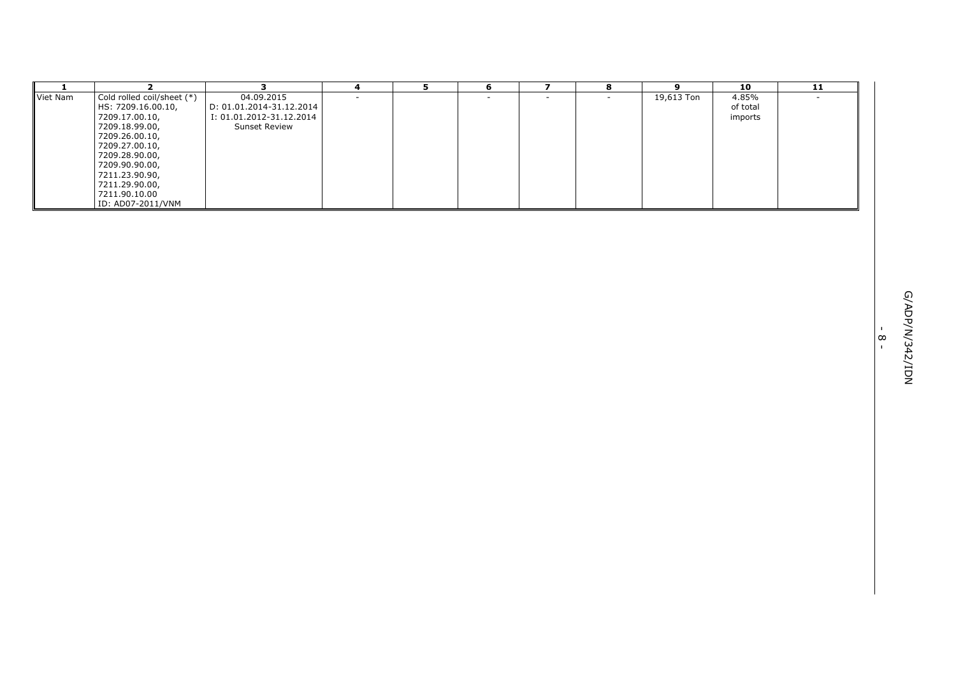| Cold rolled coil/sheet (*)<br>04.09.2015<br>19,613 Ton<br>Viet Nam<br>4.85%<br>$\sim$<br>$\sim$<br>$\sim$<br>$\overline{\phantom{a}}$<br>$\sim$<br>HS: 7209.16.00.10,<br>D: 01.01.2014-31.12.2014<br>of total<br>7209.17.00.10,<br>I: 01.01.2012-31.12.2014<br>imports<br>7209.18.99.00,<br><b>Sunset Review</b><br>7209.26.00.10,<br>7209.27.00.10,<br>7209.28.90.00,<br>7209.90.90.00,<br>7211.23.90.90,<br>7211.29.90.00,<br>7211.90.10.00<br>ID: AD07-2011/VNM |                          |
|--------------------------------------------------------------------------------------------------------------------------------------------------------------------------------------------------------------------------------------------------------------------------------------------------------------------------------------------------------------------------------------------------------------------------------------------------------------------|--------------------------|
|                                                                                                                                                                                                                                                                                                                                                                                                                                                                    |                          |
|                                                                                                                                                                                                                                                                                                                                                                                                                                                                    |                          |
|                                                                                                                                                                                                                                                                                                                                                                                                                                                                    |                          |
|                                                                                                                                                                                                                                                                                                                                                                                                                                                                    |                          |
|                                                                                                                                                                                                                                                                                                                                                                                                                                                                    |                          |
|                                                                                                                                                                                                                                                                                                                                                                                                                                                                    |                          |
|                                                                                                                                                                                                                                                                                                                                                                                                                                                                    |                          |
|                                                                                                                                                                                                                                                                                                                                                                                                                                                                    |                          |
|                                                                                                                                                                                                                                                                                                                                                                                                                                                                    | $\mathbf{L}$             |
|                                                                                                                                                                                                                                                                                                                                                                                                                                                                    | $\infty$<br>$\mathbf{L}$ |
|                                                                                                                                                                                                                                                                                                                                                                                                                                                                    | MQI/7542/IDN             |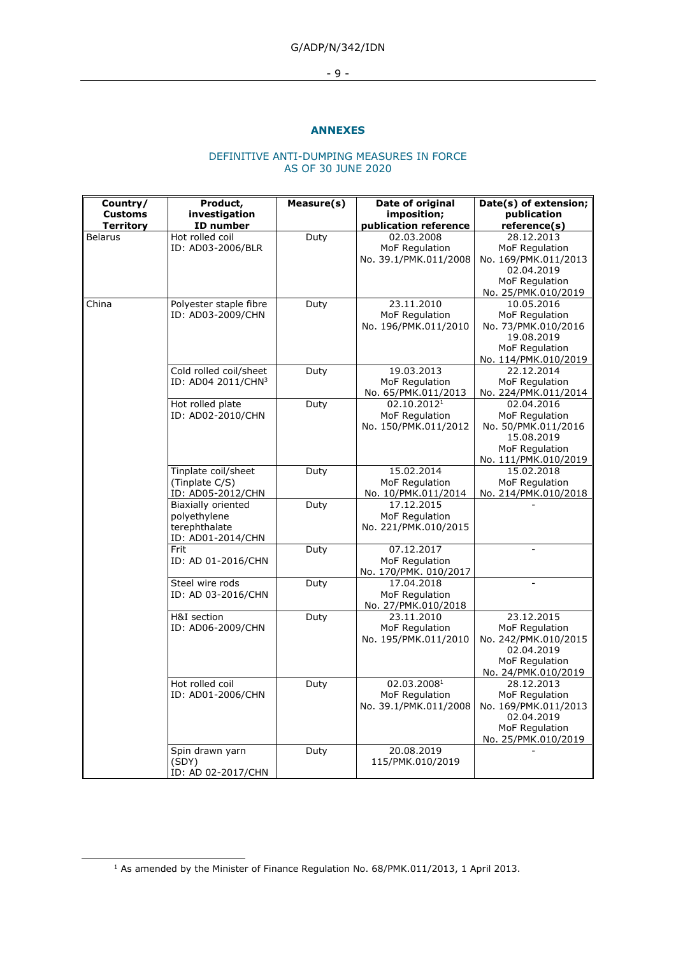- 9 -

### **ANNEXES**

#### DEFINITIVE ANTI-DUMPING MEASURES IN FORCE AS OF 30 JUNE 2020

| Country/<br><b>Customs</b> | Product,<br>investigation                                                | Measure(s) | Date of original<br>imposition;                                   | Date(s) of extension;<br>publication                                                                        |
|----------------------------|--------------------------------------------------------------------------|------------|-------------------------------------------------------------------|-------------------------------------------------------------------------------------------------------------|
| <b>Territory</b>           | ID number                                                                |            | publication reference                                             | reference(s)                                                                                                |
| <b>Belarus</b>             | Hot rolled coil<br>ID: AD03-2006/BLR                                     | Duty       | 02.03.2008<br>MoF Regulation<br>No. 39.1/PMK.011/2008             | 28.12.2013<br>MoF Regulation<br>No. 169/PMK.011/2013<br>02.04.2019<br>MoF Regulation<br>No. 25/PMK.010/2019 |
| China                      | Polyester staple fibre<br>ID: AD03-2009/CHN                              | Duty       | 23.11.2010<br>MoF Regulation<br>No. 196/PMK.011/2010              | 10.05.2016<br>MoF Regulation<br>No. 73/PMK.010/2016<br>19.08.2019<br>MoF Regulation<br>No. 114/PMK.010/2019 |
|                            | Cold rolled coil/sheet<br>ID: AD04 2011/CHN3                             | Duty       | 19.03.2013<br>MoF Regulation<br>No. 65/PMK.011/2013               | 22.12.2014<br>MoF Regulation<br>No. 224/PMK.011/2014                                                        |
|                            | Hot rolled plate<br>ID: AD02-2010/CHN                                    | Duty       | 02.10.2012 <sup>1</sup><br>MoF Regulation<br>No. 150/PMK.011/2012 | 02.04.2016<br>MoF Regulation<br>No. 50/PMK.011/2016<br>15.08.2019<br>MoF Regulation<br>No. 111/PMK.010/2019 |
|                            | Tinplate coil/sheet<br>(Tinplate C/S)<br>ID: AD05-2012/CHN               | Duty       | 15.02.2014<br>MoF Regulation<br>No. 10/PMK.011/2014               | 15.02.2018<br>MoF Regulation<br>No. 214/PMK.010/2018                                                        |
|                            | Biaxially oriented<br>polyethylene<br>terephthalate<br>ID: AD01-2014/CHN | Duty       | 17.12.2015<br>MoF Regulation<br>No. 221/PMK.010/2015              |                                                                                                             |
|                            | Frit<br>ID: AD 01-2016/CHN                                               | Duty       | 07.12.2017<br>MoF Regulation<br>No. 170/PMK. 010/2017             |                                                                                                             |
|                            | Steel wire rods<br>ID: AD 03-2016/CHN                                    | Duty       | 17.04.2018<br>MoF Regulation<br>No. 27/PMK.010/2018               |                                                                                                             |
|                            | H&I section<br>ID: AD06-2009/CHN                                         | Duty       | 23.11.2010<br>MoF Regulation<br>No. 195/PMK.011/2010              | 23.12.2015<br>MoF Regulation<br>No. 242/PMK.010/2015<br>02.04.2019<br>MoF Regulation<br>No. 24/PMK.010/2019 |
|                            | Hot rolled coil<br>ID: AD01-2006/CHN                                     | Duty       | 02.03.20081<br>MoF Regulation<br>No. 39.1/PMK.011/2008            | 28.12.2013<br>MoF Regulation<br>No. 169/PMK.011/2013<br>02.04.2019<br>MoF Regulation<br>No. 25/PMK.010/2019 |
|                            | Spin drawn yarn<br>(SDY)<br>ID: AD 02-2017/CHN                           | Duty       | 20.08.2019<br>115/PMK.010/2019                                    |                                                                                                             |

<sup>1</sup> As amended by the Minister of Finance Regulation No. 68/PMK.011/2013, 1 April 2013.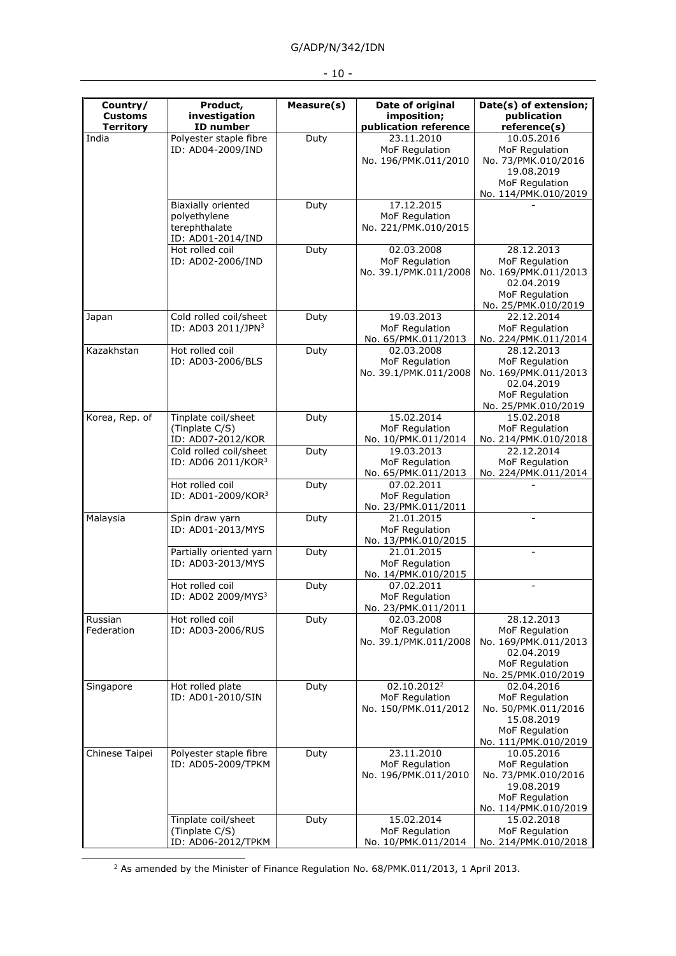|  | × |  |
|--|---|--|
|--|---|--|

| Country/                           | Product,                             | Measure(s) | Date of original                        | Date(s) of extension;                                |
|------------------------------------|--------------------------------------|------------|-----------------------------------------|------------------------------------------------------|
| <b>Customs</b><br><b>Territory</b> | investigation<br>ID number           |            | imposition;<br>publication reference    | publication<br>reference(s)                          |
| India                              | Polyester staple fibre               | Duty       | 23.11.2010                              | 10.05.2016                                           |
|                                    | ID: AD04-2009/IND                    |            | MoF Regulation<br>No. 196/PMK.011/2010  | MoF Regulation<br>No. 73/PMK.010/2016<br>19.08.2019  |
|                                    |                                      |            |                                         | MoF Regulation<br>No. 114/PMK.010/2019               |
|                                    | Biaxially oriented                   | Duty       | 17.12.2015                              |                                                      |
|                                    | polyethylene                         |            | MoF Regulation                          |                                                      |
|                                    | terephthalate<br>ID: AD01-2014/IND   |            | No. 221/PMK.010/2015                    |                                                      |
|                                    | Hot rolled coil                      | Duty       | 02.03.2008                              | 28.12.2013                                           |
|                                    | ID: AD02-2006/IND                    |            | MoF Regulation<br>No. 39.1/PMK.011/2008 | MoF Regulation<br>No. 169/PMK.011/2013<br>02.04.2019 |
|                                    |                                      |            |                                         | MoF Regulation<br>No. 25/PMK.010/2019                |
| Japan                              | Cold rolled coil/sheet               | Duty       | 19.03.2013                              | 22.12.2014                                           |
|                                    | ID: AD03 2011/JPN3                   |            | MoF Regulation<br>No. 65/PMK.011/2013   | MoF Regulation<br>No. 224/PMK.011/2014               |
| Kazakhstan                         | Hot rolled coil                      | Duty       | 02.03.2008                              | 28.12.2013                                           |
|                                    | ID: AD03-2006/BLS                    |            | MoF Regulation                          | MoF Regulation                                       |
|                                    |                                      |            | No. 39.1/PMK.011/2008                   | No. 169/PMK.011/2013<br>02.04.2019                   |
|                                    |                                      |            |                                         | MoF Regulation<br>No. 25/PMK.010/2019                |
| Korea, Rep. of                     | Tinplate coil/sheet                  | Duty       | 15.02.2014                              | 15.02.2018                                           |
|                                    | (Tinplate C/S)<br>ID: AD07-2012/KOR  |            | MoF Regulation<br>No. 10/PMK.011/2014   | MoF Regulation<br>No. 214/PMK.010/2018               |
|                                    | Cold rolled coil/sheet               | Duty       | 19.03.2013                              | 22.12.2014                                           |
|                                    | ID: AD06 2011/KOR3                   |            | MoF Regulation<br>No. 65/PMK.011/2013   | MoF Regulation<br>No. 224/PMK.011/2014               |
|                                    | Hot rolled coil                      | Duty       | 07.02.2011                              |                                                      |
|                                    | ID: AD01-2009/KOR3                   |            | MoF Regulation<br>No. 23/PMK.011/2011   |                                                      |
| Malaysia                           | Spin draw yarn                       | Duty       | 21.01.2015                              |                                                      |
|                                    | ID: AD01-2013/MYS                    |            | MoF Regulation<br>No. 13/PMK.010/2015   |                                                      |
|                                    | Partially oriented yarn              | Duty       | 21.01.2015                              |                                                      |
|                                    | ID: AD03-2013/MYS                    |            | MoF Regulation<br>No. 14/PMK.010/2015   |                                                      |
|                                    | Hot rolled coil                      | Duty       | 07.02.2011                              |                                                      |
|                                    | ID: AD02 2009/MYS <sup>3</sup>       |            | MoF Regulation                          |                                                      |
|                                    |                                      |            | No. 23/PMK.011/2011                     |                                                      |
| Russian<br>Federation              | Hot rolled coil<br>ID: AD03-2006/RUS | Duty       | 02.03.2008<br>MoF Regulation            | 28.12.2013<br>MoF Regulation                         |
|                                    |                                      |            | No. 39.1/PMK.011/2008                   | No. 169/PMK.011/2013                                 |
|                                    |                                      |            |                                         | 02.04.2019                                           |
|                                    |                                      |            |                                         | MoF Regulation<br>No. 25/PMK.010/2019                |
| Singapore                          | Hot rolled plate                     | Duty       | 02.10.2012 <sup>2</sup>                 | 02.04.2016                                           |
|                                    | ID: AD01-2010/SIN                    |            | MoF Regulation                          | MoF Regulation                                       |
|                                    |                                      |            | No. 150/PMK.011/2012                    | No. 50/PMK.011/2016                                  |
|                                    |                                      |            |                                         | 15.08.2019<br>MoF Regulation                         |
|                                    |                                      |            |                                         | No. 111/PMK.010/2019                                 |
| Chinese Taipei                     | Polyester staple fibre               | Duty       | 23.11.2010                              | 10.05.2016                                           |
|                                    | ID: AD05-2009/TPKM                   |            | MoF Regulation                          | MoF Regulation                                       |
|                                    |                                      |            | No. 196/PMK.011/2010                    | No. 73/PMK.010/2016<br>19.08.2019                    |
|                                    |                                      |            |                                         | MoF Regulation                                       |
|                                    |                                      |            |                                         | No. 114/PMK.010/2019                                 |
|                                    | Tinplate coil/sheet                  | Duty       | 15.02.2014                              | 15.02.2018                                           |
|                                    | (Tinplate C/S)                       |            | MoF Regulation                          | MoF Regulation                                       |
|                                    | ID: AD06-2012/TPKM                   |            | No. 10/PMK.011/2014                     | No. 214/PMK.010/2018                                 |

<sup>2</sup> As amended by the Minister of Finance Regulation No. 68/PMK.011/2013, 1 April 2013.